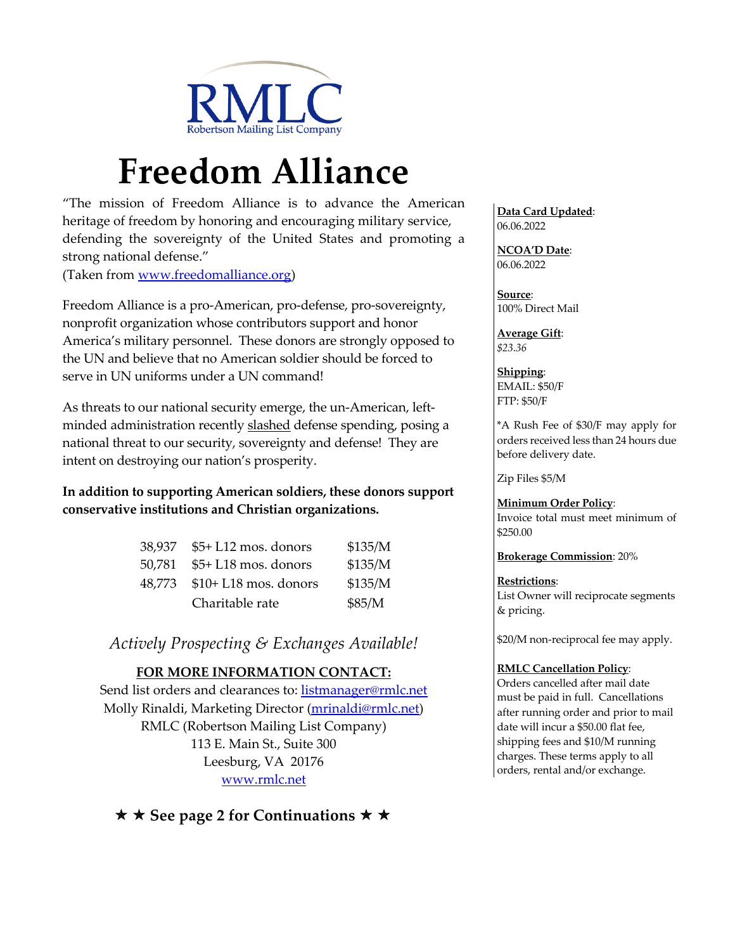

# **Freedom Alliance**

"The mission of Freedom Alliance is to advance the American heritage of freedom by honoring and encouraging military service, defending the sovereignty of the United States and promoting a strong national defense."

(Taken from www.freedomalliance.org)

Freedom Alliance is a pro-American, pro-defense, pro-sovereignty, nonprofit organization whose contributors support and honor America's military personnel. These donors are strongly opposed to the UN and believe that no American soldier should be forced to serve in UN uniforms under a UN command!

As threats to our national security emerge, the un-American, leftminded administration recently slashed defense spending, posing a national threat to our security, sovereignty and defense! They are intent on destroying our nation's prosperity.

## **In addition to supporting American soldiers, these donors support conservative institutions and Christian organizations.**

| 38.937 | \$5+ L12 mos. donors  | \$135/M |
|--------|-----------------------|---------|
| 50.781 | $$5+L18$ mos. donors  | \$135/M |
| 48.773 | $$10+L18$ mos. donors | \$135/M |
|        | Charitable rate       | \$85/M  |

*Actively Prospecting & Exchanges Available!*

# **FOR MORE INFORMATION CONTACT:**

Send list orders and clearances to: listmanager@rmlc.net Molly Rinaldi, Marketing Director (mrinaldi@rmlc.net) RMLC (Robertson Mailing List Company) 113 E. Main St., Suite 300 Leesburg, VA 20176 www.rmlc.net

**★ ★ See page 2 for Continuations ★ ★** 

**Data Card Updated**: 06.06.2022

**NCOA'D Date**: 06.06.2022

**Source**: 100% Direct Mail

**Average Gift**: *\$23.36*

**Shipping**: EMAIL: \$50/F FTP: \$50/F

\*A Rush Fee of \$30/F may apply for orders received less than 24 hours due before delivery date.

Zip Files \$5/M

#### **Minimum Order Policy**:

Invoice total must meet minimum of \$250.00

**Brokerage Commission**: 20%

#### **Restrictions**:

List Owner will reciprocate segments & pricing.

\$20/M non-reciprocal fee may apply.

#### **RMLC Cancellation Policy**:

Orders cancelled after mail date must be paid in full. Cancellations after running order and prior to mail date will incur a \$50.00 flat fee, shipping fees and \$10/M running charges. These terms apply to all orders, rental and/or exchange.